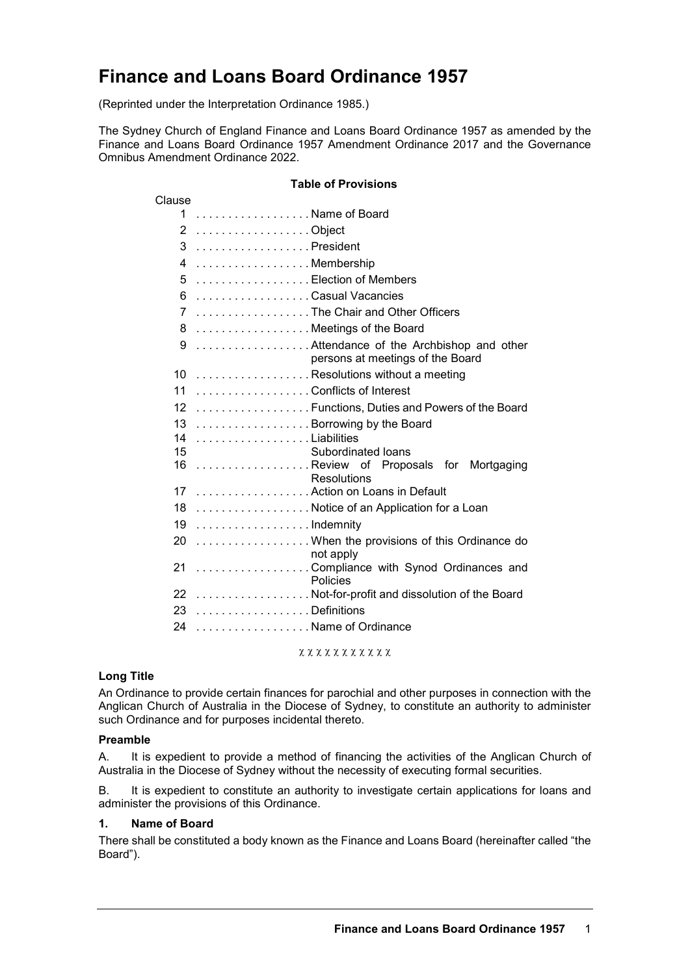# **Finance and Loans Board Ordinance 1957**

(Reprinted under the Interpretation Ordinance 1985.)

The Sydney Church of England Finance and Loans Board Ordinance 1957 as amended by the Finance and Loans Board Ordinance 1957 Amendment Ordinance 2017 and the Governance Omnibus Amendment Ordinance 2022.

# **Table of Provisions**

| Clause          |                                                                            |
|-----------------|----------------------------------------------------------------------------|
| 1               | . Name of Board                                                            |
| 2               |                                                                            |
| 3               | . President                                                                |
| 4               | Membership                                                                 |
| 5               | Election of Members                                                        |
| 6               | Casual Vacancies                                                           |
| 7               | The Chair and Other Officers                                               |
| 8               | Meetings of the Board                                                      |
| 9               | Attendance of the Archbishop and other<br>persons at meetings of the Board |
| 10              | Resolutions without a meeting                                              |
| 11              | Conflicts of Interest                                                      |
| 12 <sup>2</sup> | Functions, Duties and Powers of the Board                                  |
| 13              | Borrowing by the Board                                                     |
| 14              | . Liabilities                                                              |
| 15              | Subordinated loans                                                         |
| 16              | Review of Proposals for Mortgaging<br>Resolutions                          |
| 17              | Action on Loans in Default                                                 |
| 18              | . Notice of an Application for a Loan                                      |
| 19              | . Indemnity                                                                |
| 20              | When the provisions of this Ordinance do<br>not apply                      |
| 21              | Compliance with Synod Ordinances and<br>Policies                           |
| 22              | Not-for-profit and dissolution of the Board                                |
| 23              | . Definitions                                                              |
| 24              | Name of Ordinance                                                          |

χ χ χ χ χ χ χ χ χ χ χ

#### **Long Title**

An Ordinance to provide certain finances for parochial and other purposes in connection with the Anglican Church of Australia in the Diocese of Sydney, to constitute an authority to administer such Ordinance and for purposes incidental thereto.

#### **Preamble**

A. It is expedient to provide a method of financing the activities of the Anglican Church of Australia in the Diocese of Sydney without the necessity of executing formal securities.

B. It is expedient to constitute an authority to investigate certain applications for loans and administer the provisions of this Ordinance.

#### **1. Name of Board**

There shall be constituted a body known as the Finance and Loans Board (hereinafter called "the Board").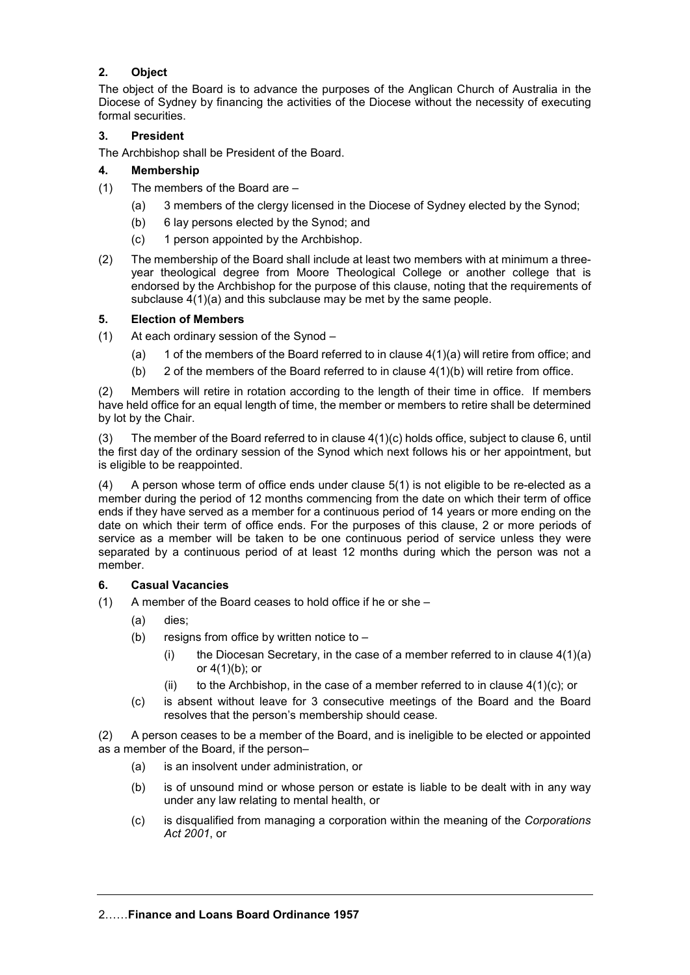# **2. Object**

The object of the Board is to advance the purposes of the Anglican Church of Australia in the Diocese of Sydney by financing the activities of the Diocese without the necessity of executing formal securities.

#### **3. President**

The Archbishop shall be President of the Board.

#### **4. Membership**

- (1) The members of the Board are
	- (a) 3 members of the clergy licensed in the Diocese of Sydney elected by the Synod;
	- (b) 6 lay persons elected by the Synod; and
	- (c) 1 person appointed by the Archbishop.
- (2) The membership of the Board shall include at least two members with at minimum a threeyear theological degree from Moore Theological College or another college that is endorsed by the Archbishop for the purpose of this clause, noting that the requirements of subclause 4(1)(a) and this subclause may be met by the same people.

#### **5. Election of Members**

- (1) At each ordinary session of the Synod
	- (a) 1 of the members of the Board referred to in clause  $4(1)(a)$  will retire from office; and
	- (b) 2 of the members of the Board referred to in clause  $4(1)(b)$  will retire from office.

(2) Members will retire in rotation according to the length of their time in office. If members have held office for an equal length of time, the member or members to retire shall be determined by lot by the Chair.

(3) The member of the Board referred to in clause 4(1)(c) holds office, subject to clause 6, until the first day of the ordinary session of the Synod which next follows his or her appointment, but is eligible to be reappointed.

(4) A person whose term of office ends under clause 5(1) is not eligible to be re-elected as a member during the period of 12 months commencing from the date on which their term of office ends if they have served as a member for a continuous period of 14 years or more ending on the date on which their term of office ends. For the purposes of this clause, 2 or more periods of service as a member will be taken to be one continuous period of service unless they were separated by a continuous period of at least 12 months during which the person was not a member.

#### **6. Casual Vacancies**

- (1) A member of the Board ceases to hold office if he or she
	- (a) dies;
	- (b) resigns from office by written notice to  $-$ 
		- (i) the Diocesan Secretary, in the case of a member referred to in clause  $4(1)(a)$ or 4(1)(b); or
		- (ii) to the Archbishop, in the case of a member referred to in clause  $4(1)(c)$ ; or
	- (c) is absent without leave for 3 consecutive meetings of the Board and the Board resolves that the person's membership should cease.

(2) A person ceases to be a member of the Board, and is ineligible to be elected or appointed as a member of the Board, if the person–

- (a) is an insolvent under administration, or
- (b) is of unsound mind or whose person or estate is liable to be dealt with in any way under any law relating to mental health, or
- (c) is disqualified from managing a corporation within the meaning of the *Corporations Act 2001*, or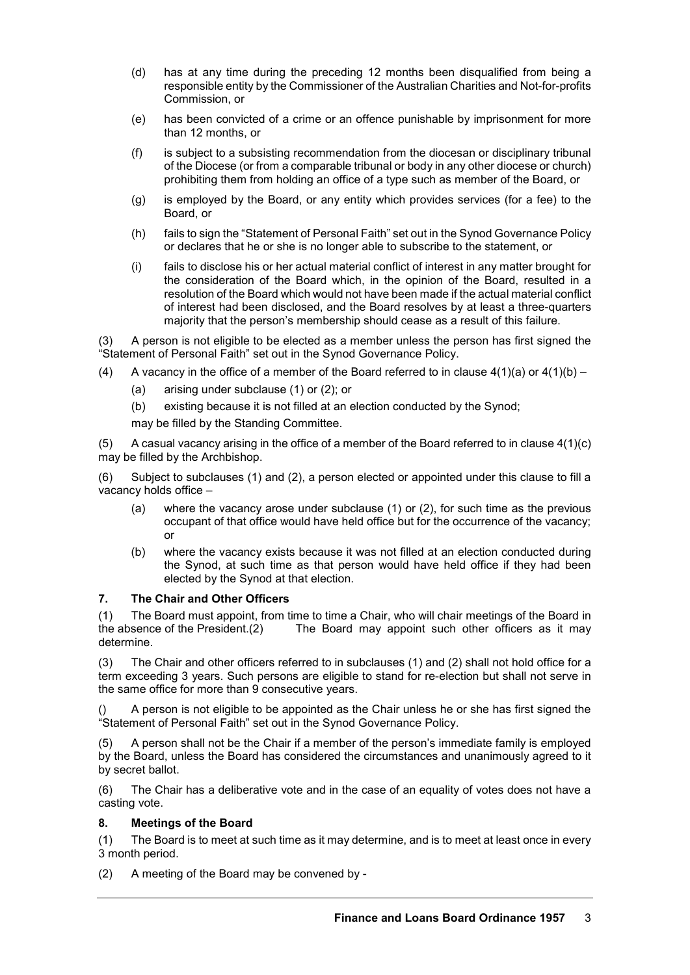- (d) has at any time during the preceding 12 months been disqualified from being a responsible entity by the Commissioner of the Australian Charities and Not-for-profits Commission, or
- (e) has been convicted of a crime or an offence punishable by imprisonment for more than 12 months, or
- (f) is subject to a subsisting recommendation from the diocesan or disciplinary tribunal of the Diocese (or from a comparable tribunal or body in any other diocese or church) prohibiting them from holding an office of a type such as member of the Board, or
- (g) is employed by the Board, or any entity which provides services (for a fee) to the Board, or
- (h) fails to sign the "Statement of Personal Faith" set out in the Synod Governance Policy or declares that he or she is no longer able to subscribe to the statement, or
- (i) fails to disclose his or her actual material conflict of interest in any matter brought for the consideration of the Board which, in the opinion of the Board, resulted in a resolution of the Board which would not have been made if the actual material conflict of interest had been disclosed, and the Board resolves by at least a three-quarters majority that the person's membership should cease as a result of this failure.

(3) A person is not eligible to be elected as a member unless the person has first signed the "Statement of Personal Faith" set out in the Synod Governance Policy.

- (4) A vacancy in the office of a member of the Board referred to in clause  $4(1)(a)$  or  $4(1)(b)$ 
	- (a) arising under subclause (1) or (2); or
	- (b) existing because it is not filled at an election conducted by the Synod;
	- may be filled by the Standing Committee.

(5) A casual vacancy arising in the office of a member of the Board referred to in clause  $4(1)(c)$ may be filled by the Archbishop.

(6) Subject to subclauses (1) and (2), a person elected or appointed under this clause to fill a vacancy holds office –

- (a) where the vacancy arose under subclause (1) or (2), for such time as the previous occupant of that office would have held office but for the occurrence of the vacancy; or
- (b) where the vacancy exists because it was not filled at an election conducted during the Synod, at such time as that person would have held office if they had been elected by the Synod at that election.

#### **7. The Chair and Other Officers**

(1) The Board must appoint, from time to time a Chair, who will chair meetings of the Board in the absence of the President.  $(2)$  The Board may appoint such other officers as it may The Board may appoint such other officers as it may determine.

(3) The Chair and other officers referred to in subclauses (1) and (2) shall not hold office for a term exceeding 3 years. Such persons are eligible to stand for re-election but shall not serve in the same office for more than 9 consecutive years.

A person is not eligible to be appointed as the Chair unless he or she has first signed the "Statement of Personal Faith" set out in the Synod Governance Policy.

(5) A person shall not be the Chair if a member of the person's immediate family is employed by the Board, unless the Board has considered the circumstances and unanimously agreed to it by secret ballot.

(6) The Chair has a deliberative vote and in the case of an equality of votes does not have a casting vote.

#### **8. Meetings of the Board**

(1) The Board is to meet at such time as it may determine, and is to meet at least once in every 3 month period.

(2) A meeting of the Board may be convened by -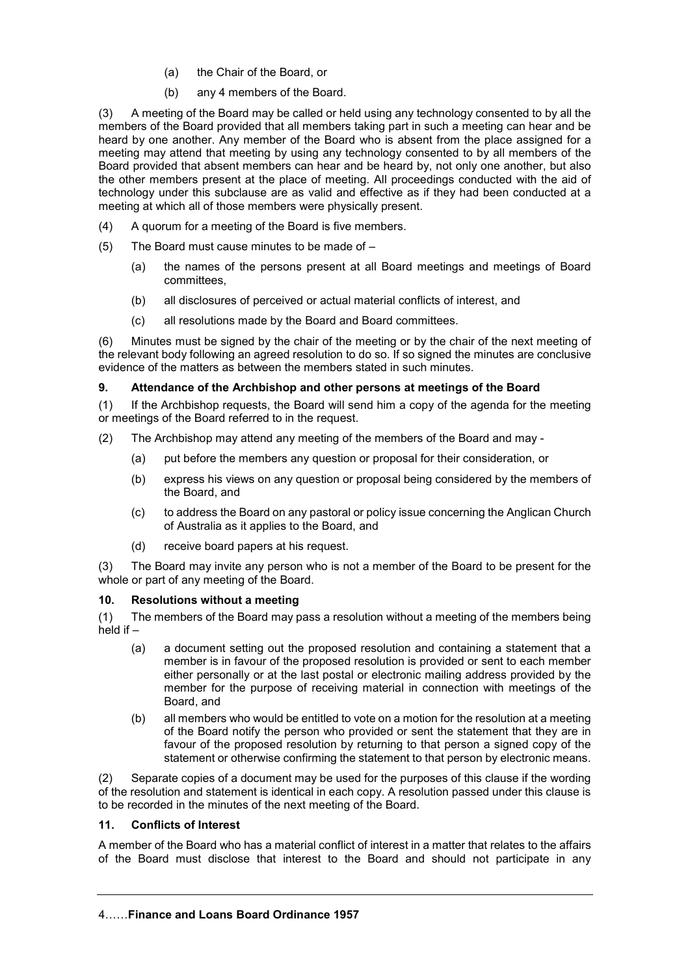- (a) the Chair of the Board, or
- (b) any 4 members of the Board.

(3) A meeting of the Board may be called or held using any technology consented to by all the members of the Board provided that all members taking part in such a meeting can hear and be heard by one another. Any member of the Board who is absent from the place assigned for a meeting may attend that meeting by using any technology consented to by all members of the Board provided that absent members can hear and be heard by, not only one another, but also the other members present at the place of meeting. All proceedings conducted with the aid of technology under this subclause are as valid and effective as if they had been conducted at a meeting at which all of those members were physically present.

- (4) A quorum for a meeting of the Board is five members.
- (5) The Board must cause minutes to be made of
	- (a) the names of the persons present at all Board meetings and meetings of Board committees,
	- (b) all disclosures of perceived or actual material conflicts of interest, and
	- (c) all resolutions made by the Board and Board committees.

(6) Minutes must be signed by the chair of the meeting or by the chair of the next meeting of the relevant body following an agreed resolution to do so. If so signed the minutes are conclusive evidence of the matters as between the members stated in such minutes.

## **9. Attendance of the Archbishop and other persons at meetings of the Board**

(1) If the Archbishop requests, the Board will send him a copy of the agenda for the meeting or meetings of the Board referred to in the request.

- (2) The Archbishop may attend any meeting of the members of the Board and may
	- (a) put before the members any question or proposal for their consideration, or
	- (b) express his views on any question or proposal being considered by the members of the Board, and
	- (c) to address the Board on any pastoral or policy issue concerning the Anglican Church of Australia as it applies to the Board, and
	- (d) receive board papers at his request.

(3) The Board may invite any person who is not a member of the Board to be present for the whole or part of any meeting of the Board.

#### **10. Resolutions without a meeting**

(1) The members of the Board may pass a resolution without a meeting of the members being  $\overrightarrow{h}$  held if  $-$ 

- (a) a document setting out the proposed resolution and containing a statement that a member is in favour of the proposed resolution is provided or sent to each member either personally or at the last postal or electronic mailing address provided by the member for the purpose of receiving material in connection with meetings of the Board, and
- (b) all members who would be entitled to vote on a motion for the resolution at a meeting of the Board notify the person who provided or sent the statement that they are in favour of the proposed resolution by returning to that person a signed copy of the statement or otherwise confirming the statement to that person by electronic means.

(2) Separate copies of a document may be used for the purposes of this clause if the wording of the resolution and statement is identical in each copy. A resolution passed under this clause is to be recorded in the minutes of the next meeting of the Board.

#### **11. Conflicts of Interest**

A member of the Board who has a material conflict of interest in a matter that relates to the affairs of the Board must disclose that interest to the Board and should not participate in any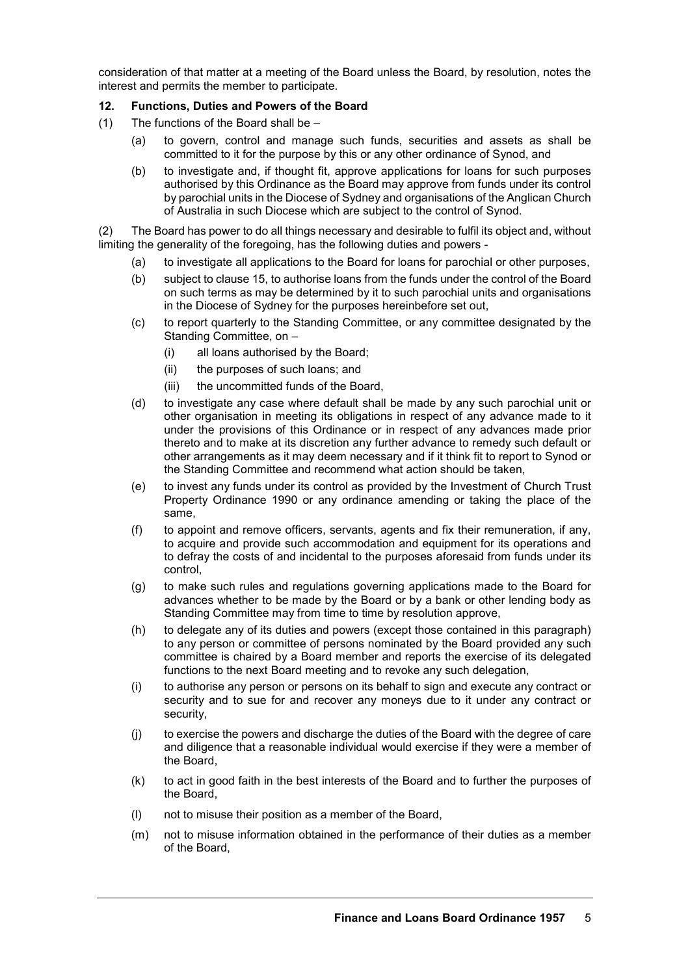consideration of that matter at a meeting of the Board unless the Board, by resolution, notes the interest and permits the member to participate.

#### **12. Functions, Duties and Powers of the Board**

- (1) The functions of the Board shall be
	- (a) to govern, control and manage such funds, securities and assets as shall be committed to it for the purpose by this or any other ordinance of Synod, and
	- (b) to investigate and, if thought fit, approve applications for loans for such purposes authorised by this Ordinance as the Board may approve from funds under its control by parochial units in the Diocese of Sydney and organisations of the Anglican Church of Australia in such Diocese which are subject to the control of Synod.

(2) The Board has power to do all things necessary and desirable to fulfil its object and, without limiting the generality of the foregoing, has the following duties and powers -

- (a) to investigate all applications to the Board for loans for parochial or other purposes,
- (b) subject to clause 15, to authorise loans from the funds under the control of the Board on such terms as may be determined by it to such parochial units and organisations in the Diocese of Sydney for the purposes hereinbefore set out,
- (c) to report quarterly to the Standing Committee, or any committee designated by the Standing Committee, on –
	- (i) all loans authorised by the Board;
	- (ii) the purposes of such loans; and
	- (iii) the uncommitted funds of the Board,
- (d) to investigate any case where default shall be made by any such parochial unit or other organisation in meeting its obligations in respect of any advance made to it under the provisions of this Ordinance or in respect of any advances made prior thereto and to make at its discretion any further advance to remedy such default or other arrangements as it may deem necessary and if it think fit to report to Synod or the Standing Committee and recommend what action should be taken,
- (e) to invest any funds under its control as provided by the Investment of Church Trust Property Ordinance 1990 or any ordinance amending or taking the place of the same,
- (f) to appoint and remove officers, servants, agents and fix their remuneration, if any, to acquire and provide such accommodation and equipment for its operations and to defray the costs of and incidental to the purposes aforesaid from funds under its control,
- (g) to make such rules and regulations governing applications made to the Board for advances whether to be made by the Board or by a bank or other lending body as Standing Committee may from time to time by resolution approve,
- (h) to delegate any of its duties and powers (except those contained in this paragraph) to any person or committee of persons nominated by the Board provided any such committee is chaired by a Board member and reports the exercise of its delegated functions to the next Board meeting and to revoke any such delegation,
- (i) to authorise any person or persons on its behalf to sign and execute any contract or security and to sue for and recover any moneys due to it under any contract or security,
- (j) to exercise the powers and discharge the duties of the Board with the degree of care and diligence that a reasonable individual would exercise if they were a member of the Board,
- (k) to act in good faith in the best interests of the Board and to further the purposes of the Board,
- (l) not to misuse their position as a member of the Board,
- (m) not to misuse information obtained in the performance of their duties as a member of the Board,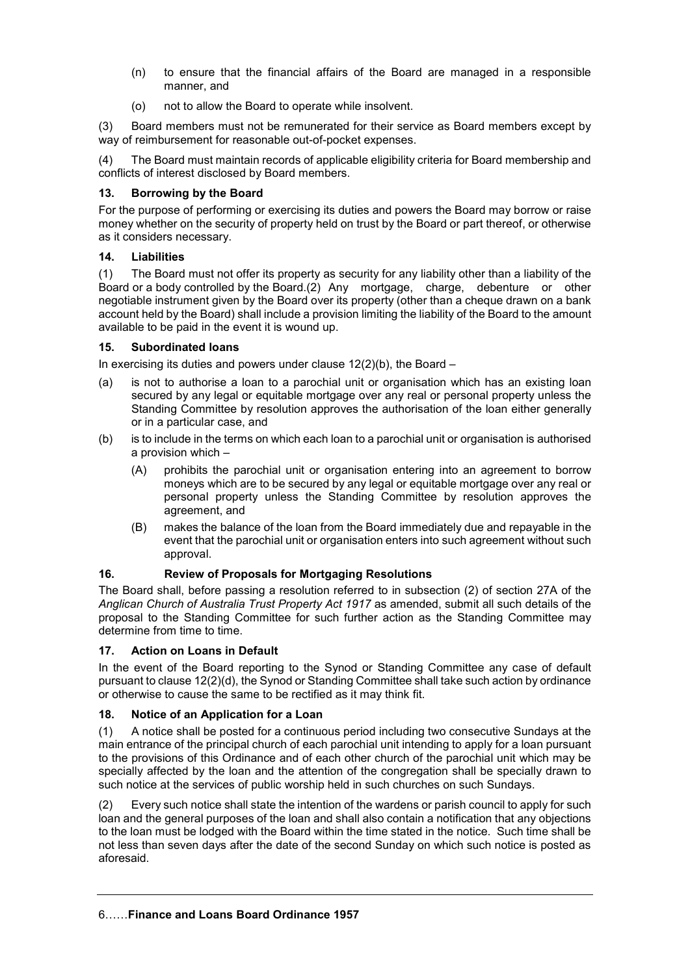- (n) to ensure that the financial affairs of the Board are managed in a responsible manner, and
- (o) not to allow the Board to operate while insolvent.

(3) Board members must not be remunerated for their service as Board members except by way of reimbursement for reasonable out-of-pocket expenses.

(4) The Board must maintain records of applicable eligibility criteria for Board membership and conflicts of interest disclosed by Board members.

## **13. Borrowing by the Board**

For the purpose of performing or exercising its duties and powers the Board may borrow or raise money whether on the security of property held on trust by the Board or part thereof, or otherwise as it considers necessary.

## **14. Liabilities**

(1) The Board must not offer its property as security for any liability other than a liability of the Board or a body controlled by the Board.(2) Any mortgage, charge, debenture or other negotiable instrument given by the Board over its property (other than a cheque drawn on a bank account held by the Board) shall include a provision limiting the liability of the Board to the amount available to be paid in the event it is wound up.

## **15. Subordinated loans**

In exercising its duties and powers under clause  $12(2)(b)$ , the Board –

- (a) is not to authorise a loan to a parochial unit or organisation which has an existing loan secured by any legal or equitable mortgage over any real or personal property unless the Standing Committee by resolution approves the authorisation of the loan either generally or in a particular case, and
- (b) is to include in the terms on which each loan to a parochial unit or organisation is authorised a provision which –
	- (A) prohibits the parochial unit or organisation entering into an agreement to borrow moneys which are to be secured by any legal or equitable mortgage over any real or personal property unless the Standing Committee by resolution approves the agreement, and
	- (B) makes the balance of the loan from the Board immediately due and repayable in the event that the parochial unit or organisation enters into such agreement without such approval.

#### **16. Review of Proposals for Mortgaging Resolutions**

The Board shall, before passing a resolution referred to in subsection (2) of section 27A of the *Anglican Church of Australia Trust Property Act 1917* as amended, submit all such details of the proposal to the Standing Committee for such further action as the Standing Committee may determine from time to time.

#### **17. Action on Loans in Default**

In the event of the Board reporting to the Synod or Standing Committee any case of default pursuant to clause 12(2)(d), the Synod or Standing Committee shall take such action by ordinance or otherwise to cause the same to be rectified as it may think fit.

# **18. Notice of an Application for a Loan**

(1) A notice shall be posted for a continuous period including two consecutive Sundays at the main entrance of the principal church of each parochial unit intending to apply for a loan pursuant to the provisions of this Ordinance and of each other church of the parochial unit which may be specially affected by the loan and the attention of the congregation shall be specially drawn to such notice at the services of public worship held in such churches on such Sundays.

(2) Every such notice shall state the intention of the wardens or parish council to apply for such loan and the general purposes of the loan and shall also contain a notification that any objections to the loan must be lodged with the Board within the time stated in the notice. Such time shall be not less than seven days after the date of the second Sunday on which such notice is posted as aforesaid.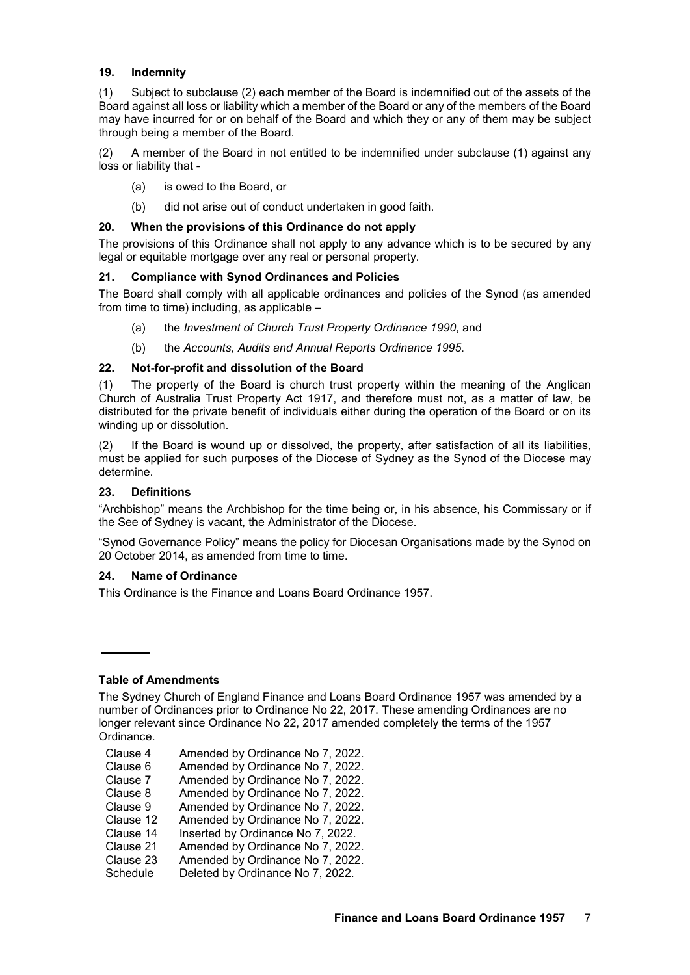#### **19. Indemnity**

(1) Subject to subclause (2) each member of the Board is indemnified out of the assets of the Board against all loss or liability which a member of the Board or any of the members of the Board may have incurred for or on behalf of the Board and which they or any of them may be subject through being a member of the Board.

(2) A member of the Board in not entitled to be indemnified under subclause (1) against any loss or liability that -

- (a) is owed to the Board, or
- (b) did not arise out of conduct undertaken in good faith.

#### **20. When the provisions of this Ordinance do not apply**

The provisions of this Ordinance shall not apply to any advance which is to be secured by any legal or equitable mortgage over any real or personal property.

#### **21. Compliance with Synod Ordinances and Policies**

The Board shall comply with all applicable ordinances and policies of the Synod (as amended from time to time) including, as applicable –

- (a) the *Investment of Church Trust Property Ordinance 1990*, and
- (b) the *Accounts, Audits and Annual Reports Ordinance 1995*.

#### **22. Not-for-profit and dissolution of the Board**

(1) The property of the Board is church trust property within the meaning of the Anglican Church of Australia Trust Property Act 1917, and therefore must not, as a matter of law, be distributed for the private benefit of individuals either during the operation of the Board or on its winding up or dissolution.

(2) If the Board is wound up or dissolved, the property, after satisfaction of all its liabilities, must be applied for such purposes of the Diocese of Sydney as the Synod of the Diocese may determine.

#### **23. Definitions**

"Archbishop" means the Archbishop for the time being or, in his absence, his Commissary or if the See of Sydney is vacant, the Administrator of the Diocese.

"Synod Governance Policy" means the policy for Diocesan Organisations made by the Synod on 20 October 2014, as amended from time to time.

# **24. Name of Ordinance**

This Ordinance is the Finance and Loans Board Ordinance 1957.

# **Table of Amendments**

The Sydney Church of England Finance and Loans Board Ordinance 1957 was amended by a number of Ordinances prior to Ordinance No 22, 2017. These amending Ordinances are no longer relevant since Ordinance No 22, 2017 amended completely the terms of the 1957 Ordinance.

- Clause 4 Amended by Ordinance No 7, 2022.
- Clause 6 Amended by Ordinance No 7, 2022.
- Clause 7 Amended by Ordinance No 7, 2022.
- Clause 8 Amended by Ordinance No 7, 2022.
- Clause 9 Amended by Ordinance No 7, 2022.
- Clause 12 Amended by Ordinance No 7, 2022.
- Clause 14 Inserted by Ordinance No 7, 2022.
- Clause 21 Amended by Ordinance No 7, 2022.
- Clause 23 Amended by Ordinance No 7, 2022.
- Schedule Deleted by Ordinance No 7, 2022.